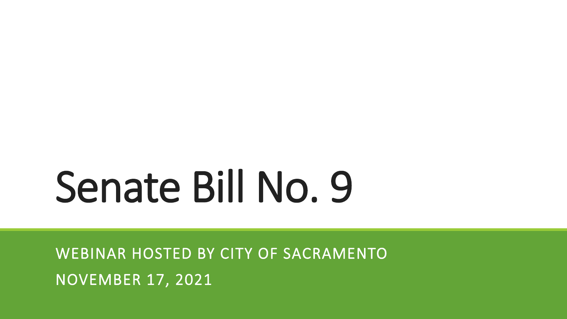# Senate Bill No. 9

WEBINAR HOSTED BY CITY OF SACRAMENTO NOVEMBER 17, 2021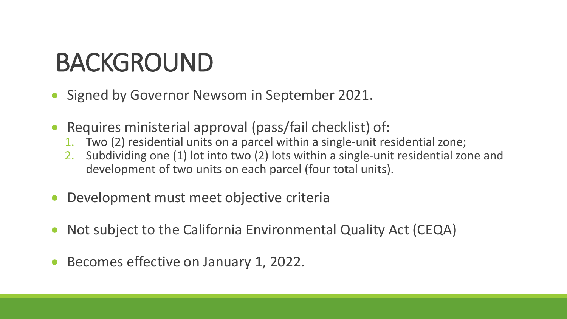# BACKGROUND

- Signed by Governor Newsom in September 2021.
- Requires ministerial approval (pass/fail checklist) of:
	- 1. Two (2) residential units on a parcel within a single-unit residential zone;
	- 2. Subdividing one (1) lot into two (2) lots within a single-unit residential zone and development of two units on each parcel (four total units).
- Development must meet objective criteria
- Not subject to the California Environmental Quality Act (CEQA)
- Becomes effective on January 1, 2022.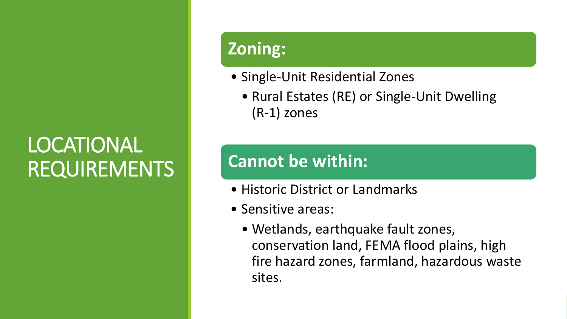## LOCATIONAL REQUIREMENTS

### **Zoning:**

- Single-Unit Residential Zones
	- Rural Estates (RE) or Single-Unit Dwelling (R-1) zones

### **Cannot be within:**

- Historic District or Landmarks
- Sensitive areas:
	- Wetlands, earthquake fault zones, conservation land, FEMA flood plains, high fire hazard zones, farmland, hazardous waste sites.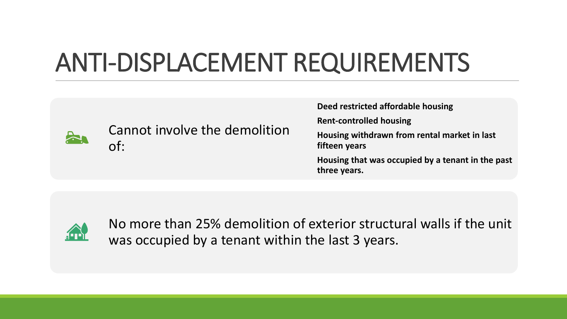# ANTI-DISPLACEMENT REQUIREMENTS



Cannot involve the demolition of:

**Deed restricted affordable housing Rent-controlled housing Housing withdrawn from rental market in last fifteen years Housing that was occupied by a tenant in the past three years.**



No more than 25% demolition of exterior structural walls if the unit was occupied by a tenant within the last 3 years.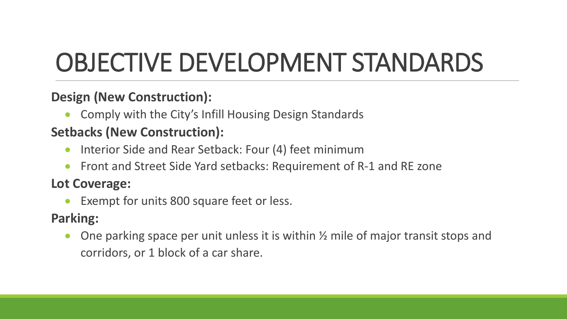# OBJECTIVE DEVELOPMENT STANDARDS

#### **Design (New Construction):**

• Comply with the City's Infill Housing Design Standards

#### **Setbacks (New Construction):**

- Interior Side and Rear Setback: Four (4) feet minimum
- Front and Street Side Yard setbacks: Requirement of R-1 and RE zone

#### **Lot Coverage:**

Exempt for units 800 square feet or less.

#### **Parking:**

• One parking space per unit unless it is within ½ mile of major transit stops and corridors, or 1 block of a car share.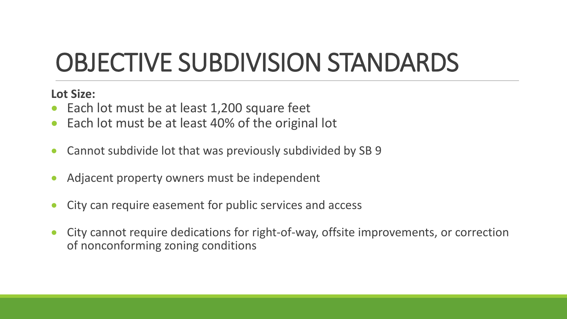# OBJECTIVE SUBDIVISION STANDARDS

**Lot Size:**

- Each lot must be at least 1,200 square feet
- Each lot must be at least 40% of the original lot
- Cannot subdivide lot that was previously subdivided by SB 9
- Adjacent property owners must be independent
- City can require easement for public services and access
- City cannot require dedications for right-of-way, offsite improvements, or correction of nonconforming zoning conditions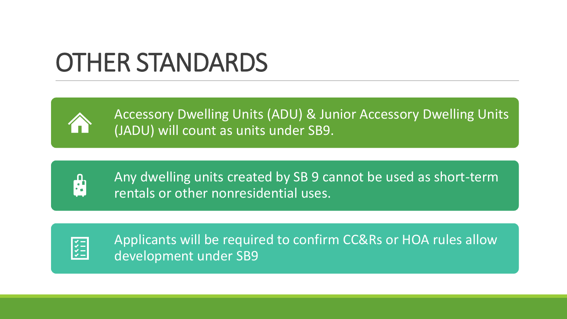# OTHER STANDARDS



Accessory Dwelling Units (ADU) & Junior Accessory Dwelling Units (JADU) will count as units under SB9.



Any dwelling units created by SB 9 cannot be used as short-term rentals or other nonresidential uses.



Applicants will be required to confirm CC&Rs or HOA rules allow development under SB9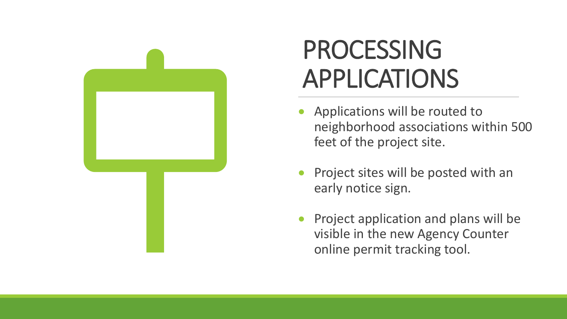

# PROCESSING APPLICATIONS

- Applications will be routed to neighborhood associations within 500 feet of the project site.
- Project sites will be posted with an early notice sign.
- Project application and plans will be visible in the new Agency Counter online permit tracking tool.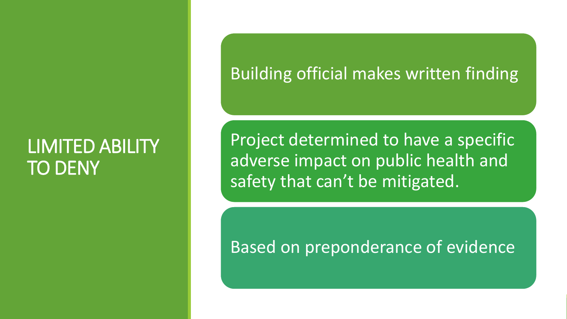### LIMITED ABILITY TO DENY

### Building official makes written finding

Project determined to have a specific adverse impact on public health and safety that can't be mitigated.

### Based on preponderance of evidence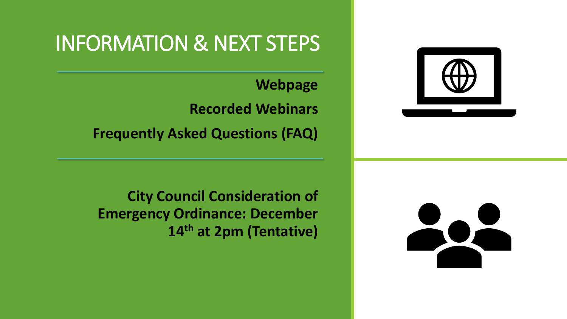

### INFORMATION & NEXT STEPS

**Webpage Recorded Webinars Frequently Asked Questions (FAQ)**

**City Council Consideration of Emergency Ordinance: December 14th at 2pm (Tentative)**